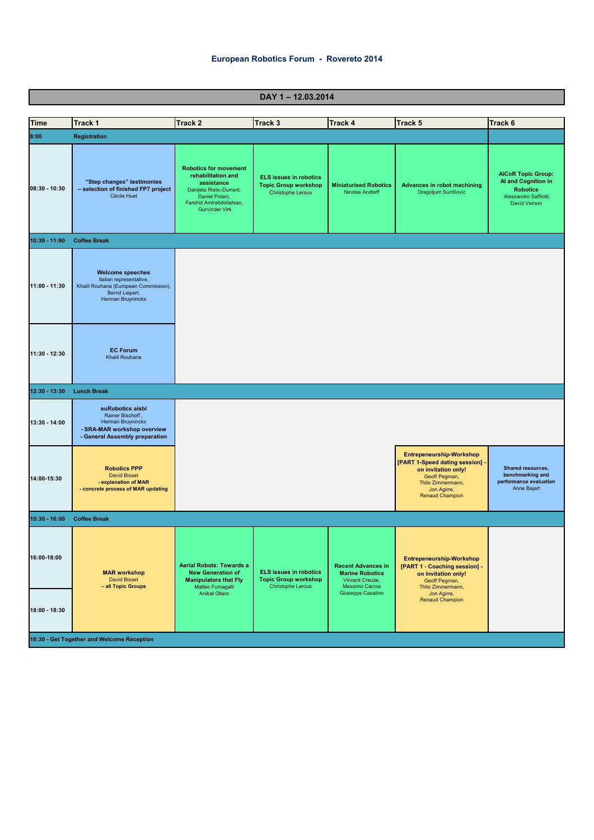## **European Robotics Forum - Rovereto 2014**

**DAY 1 – 12.03.2014**

| Time                                       | Track 1                                                                                                                            | <b>Track 2</b>                                                                                                                                                      | Track 3                                                                                  | <b>Track 4</b>                                                                                                | Track 5                                                                                                                                                           | Track 6                                                                                                      |  |
|--------------------------------------------|------------------------------------------------------------------------------------------------------------------------------------|---------------------------------------------------------------------------------------------------------------------------------------------------------------------|------------------------------------------------------------------------------------------|---------------------------------------------------------------------------------------------------------------|-------------------------------------------------------------------------------------------------------------------------------------------------------------------|--------------------------------------------------------------------------------------------------------------|--|
| 8:00                                       | <b>Registration</b>                                                                                                                |                                                                                                                                                                     |                                                                                          |                                                                                                               |                                                                                                                                                                   |                                                                                                              |  |
| 08:30 - 10:30                              | "Step changes" testimonies<br>- selection of finished FP7 project<br>Cécile Huet                                                   | <b>Robotics for movement</b><br>rehabilitation and<br>assistance<br>Danijela Ristic-Durrant,<br>Daniel Polani,<br>Farshid Amirabdollahian,<br><b>Gurvinder Virk</b> | <b>ELS issues in robotics</b><br><b>Topic Group workshop</b><br>Christophe Leroux        | <b>Miniaturised Robotics</b><br>Nicolas Andreff                                                               | <b>Advances in robot machining</b><br>Dragoljum Surdilovic                                                                                                        | <b>AICoR Topic Group:</b><br>Al and Cognition in<br><b>Robotics</b><br>Alessandro Saffiotti,<br>David Vernon |  |
| $10:30 - 11:00$                            | <b>Coffee Break</b>                                                                                                                |                                                                                                                                                                     |                                                                                          |                                                                                                               |                                                                                                                                                                   |                                                                                                              |  |
| 11:00 - 11:30                              | <b>Welcome speeches</b><br>Italian representative,<br>Khalil Rouhana (European Commission),<br>Bernd Liepert,<br>Herman Bruyninckx |                                                                                                                                                                     |                                                                                          |                                                                                                               |                                                                                                                                                                   |                                                                                                              |  |
| 11:30 - 12:30                              | <b>EC Forum</b><br>Khalil Rouhana                                                                                                  |                                                                                                                                                                     |                                                                                          |                                                                                                               |                                                                                                                                                                   |                                                                                                              |  |
| 12:30 - 13:30                              | <b>Lunch Break</b>                                                                                                                 |                                                                                                                                                                     |                                                                                          |                                                                                                               |                                                                                                                                                                   |                                                                                                              |  |
| 13:30 - 14:00                              | euRobotics aisbl<br>Rainer Bischoff,<br>Herman Bruyninckx<br>- SRA-MAR workshop overview<br>- General Assembly preparation         |                                                                                                                                                                     |                                                                                          |                                                                                                               |                                                                                                                                                                   |                                                                                                              |  |
| 14:00-15:30                                | <b>Robotics PPP</b><br><b>David Bisset</b><br>- explanation of MAR<br>- concrete process of MAR updating                           |                                                                                                                                                                     |                                                                                          |                                                                                                               | <b>Entrepeneurship-Workshop</b><br>[PART 1-Speed dating session] -<br>on invitation only!<br>Geoff Pegman,<br>Thilo Zimmermann,<br>Jon Agirre,<br>Renaud Champion | Shared resources,<br>benchmarking and<br>performance evaluation<br>Anne Bajart                               |  |
| 15:30 - 16:00                              | <b>Coffee Break</b>                                                                                                                |                                                                                                                                                                     |                                                                                          |                                                                                                               |                                                                                                                                                                   |                                                                                                              |  |
| 16:00-18:00                                | <b>MAR workshop</b><br><b>David Bisset</b><br>- all Topic Groups                                                                   | <b>Aerial Robots: Towards a</b><br><b>New Generation of</b><br><b>Manipulators that Fly</b><br>Matteo Fumagalli<br>Anibal Ollero                                    | <b>ELS issues in robotics</b><br><b>Topic Group workshop</b><br><b>Christophe Leroux</b> | <b>Recent Advances in</b><br><b>Marine Robotics</b><br>Vincent Creuze,<br>Massimo Caccia<br>Giuseppe Casalino | Entrepeneurship-Workshop<br>[PART 1 - Coaching session] -<br>on invitation only!<br>Geoff Pegman,<br>Thilo Zimmermann,<br>Jon Agirre,                             |                                                                                                              |  |
| 18:00 - 18:30                              |                                                                                                                                    |                                                                                                                                                                     |                                                                                          |                                                                                                               | <b>Renaud Champion</b>                                                                                                                                            |                                                                                                              |  |
| 18:30 - Get Together and Welcome Reception |                                                                                                                                    |                                                                                                                                                                     |                                                                                          |                                                                                                               |                                                                                                                                                                   |                                                                                                              |  |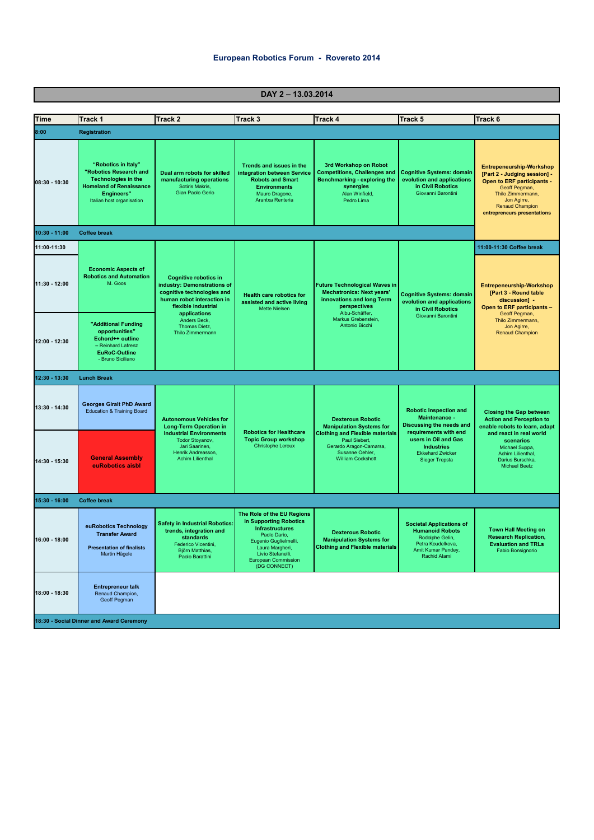| <b>Time</b>                    | Track 1                                                                                                                                                         | <b>Track 2</b>                                                                                                                                                                                                      | <b>Track 3</b>                                                                                                                                                                                                | <b>Track 4</b>                                                                                                                                                                                   | Track 5                                                                                                                                                                                              | Track 6                                                                                                                                                                                                                       |  |  |
|--------------------------------|-----------------------------------------------------------------------------------------------------------------------------------------------------------------|---------------------------------------------------------------------------------------------------------------------------------------------------------------------------------------------------------------------|---------------------------------------------------------------------------------------------------------------------------------------------------------------------------------------------------------------|--------------------------------------------------------------------------------------------------------------------------------------------------------------------------------------------------|------------------------------------------------------------------------------------------------------------------------------------------------------------------------------------------------------|-------------------------------------------------------------------------------------------------------------------------------------------------------------------------------------------------------------------------------|--|--|
| 8:00                           | <b>Registration</b>                                                                                                                                             |                                                                                                                                                                                                                     |                                                                                                                                                                                                               |                                                                                                                                                                                                  |                                                                                                                                                                                                      |                                                                                                                                                                                                                               |  |  |
| $08:30 - 10:30$                | "Robotics in Italy"<br>"Robotics Research and<br><b>Technologies in the</b><br><b>Homeland of Renaissance</b><br><b>Engineers"</b><br>Italian host organisation | Dual arm robots for skilled<br>manufacturing operations<br>Sotiris Makris,<br>Gian Paolo Gerio                                                                                                                      | Trends and issues in the<br>integration between Service<br><b>Robots and Smart</b><br><b>Environments</b><br>Mauro Dragone,<br>Arantxa Renteria                                                               | 3rd Workshop on Robot<br><b>Competitions, Challenges and</b><br>Benchmarking - exploring the<br>synergies<br>Alan Winfield,<br>Pedro Lima                                                        | <b>Cognitive Systems: domain</b><br>evolution and applications<br>in Civil Robotics<br>Giovanni Barontini                                                                                            | <b>Entrepeneurship-Workshop</b><br>[Part 2 - Judging session] -<br>Open to ERF participants -<br>Geoff Pegman,<br>Thilo Zimmermann,<br>Jon Agirre,<br><b>Renaud Champion</b><br>entrepreneurs presentations                   |  |  |
| 10:30 - 11:00                  | <b>Coffee break</b>                                                                                                                                             |                                                                                                                                                                                                                     |                                                                                                                                                                                                               |                                                                                                                                                                                                  |                                                                                                                                                                                                      |                                                                                                                                                                                                                               |  |  |
| 11:00-11:30<br>$11:30 - 12:00$ | <b>Economic Aspects of</b><br><b>Robotics and Automation</b><br>M. Goos                                                                                         | <b>Cognitive robotics in</b><br>industry: Demonstrations of<br>cognitive technologies and<br>human robot interaction in<br>flexible industrial<br>applications<br>Anders Beck,<br>Thomas Dietz,<br>Thilo Zimmermann | <b>Health care robotics for</b><br>assisted and active living<br><b>Mette Nielsen</b>                                                                                                                         | <b>Future Technological Waves in</b><br><b>Mechatronics: Next years'</b><br>innovations and long Term<br>perspectives<br>Albu-Schäffer,<br>Markus Grebenstein.<br>Antonio Bicchi                 | <b>Cognitive Systems: domain</b><br>evolution and applications<br>in Civil Robotics<br>Giovanni Barontini                                                                                            | 11:00-11:30 Coffee break<br><b>Entrepeneurship-Workshop</b><br>[Part 3 - Round table<br>discussion] -<br>Open to ERF participants -<br>Geoff Pegman,<br>Thilo Zimmermann,<br>Jon Agirre,<br><b>Renaud Champion</b>            |  |  |
| 12:00 - 12:30                  | "Additional Funding<br>opportunities"<br>Echord++ outline<br>- Reinhard Lafrenz<br><b>EuRoC-Outline</b><br>- Bruno Siciliano                                    |                                                                                                                                                                                                                     |                                                                                                                                                                                                               |                                                                                                                                                                                                  |                                                                                                                                                                                                      |                                                                                                                                                                                                                               |  |  |
| 12:30 - 13:30                  | <b>Lunch Break</b>                                                                                                                                              |                                                                                                                                                                                                                     |                                                                                                                                                                                                               |                                                                                                                                                                                                  |                                                                                                                                                                                                      |                                                                                                                                                                                                                               |  |  |
| 13:30 - 14:30                  | <b>Georges Giralt PhD Award</b><br><b>Education &amp; Training Board</b>                                                                                        | <b>Autonomous Vehicles for</b><br><b>Long-Term Operation in</b>                                                                                                                                                     | <b>Robotics for Healthcare</b><br><b>Topic Group workshop</b><br><b>Christophe Leroux</b>                                                                                                                     | <b>Dexterous Robotic</b><br><b>Manipulation Systems for</b><br><b>Clothing and Flexible materials</b><br>Paul Siebert,<br>Gerardo Aragon-Camarsa,<br>Susanne Oehler,<br><b>William Cockshott</b> | <b>Robotic Inspection and</b><br>Maintenance -<br>Discussing the needs and<br>requirements with end<br>users in Oil and Gas<br><b>Industries</b><br><b>Ekkehard Zwicker</b><br><b>Sieger Trepsta</b> | <b>Closing the Gap between</b><br><b>Action and Perception to</b><br>enable robots to learn, adapt<br>and react in real world<br>scenarios<br>Michael Suppa,<br>Achim Lilienthal,<br>Darius Burschka,<br><b>Michael Beetz</b> |  |  |
| 14:30 - 15:30                  | <b>General Assembly</b><br>euRobotics aisbl                                                                                                                     | <b>Industrial Environments</b><br>Todor Stoyanov,<br>Jari Saarinen,<br>Henrik Andreasson,<br><b>Achim Lilienthal</b>                                                                                                |                                                                                                                                                                                                               |                                                                                                                                                                                                  |                                                                                                                                                                                                      |                                                                                                                                                                                                                               |  |  |
| 15:30 - 16:00                  | <b>Coffee break</b>                                                                                                                                             |                                                                                                                                                                                                                     |                                                                                                                                                                                                               |                                                                                                                                                                                                  |                                                                                                                                                                                                      |                                                                                                                                                                                                                               |  |  |
| $16:00 - 18:00$                | euRobotics Technology<br><b>Transfer Award</b><br><b>Presentation of finalists</b><br>Martin Hägele                                                             | <b>Safety in Industrial Robotics:</b><br>trends, integration and<br>standards<br>Federico Vicentini,<br>Björn Matthias,<br>Paolo Barattini                                                                          | The Role of the EU Regions<br>in Supporting Robotics<br><b>Infrastructures</b><br>Paolo Dario.<br>Eugenio Guglielmelli,<br>Laura Margheri,<br>Livio Stefanelli,<br><b>European Commission</b><br>(DG CONNECT) | <b>Dexterous Robotic</b><br><b>Manipulation Systems for</b><br><b>Clothing and Flexible materials</b>                                                                                            | <b>Societal Applications of</b><br><b>Humanoid Robots</b><br>Rodolphe Gelin,<br>Petra Koudelkova<br>Amit Kumar Pandey,<br>Rachid Alami                                                               | <b>Town Hall Meeting on</b><br><b>Research Replication,</b><br><b>Evaluation and TRLs</b><br>Fabio Bonsignorio                                                                                                                |  |  |
| 18:00 - 18:30                  | <b>Entrepreneur talk</b><br>Renaud Champion,<br>Geoff Pegman<br>18:30 - Social Dinner and Award Ceremony                                                        |                                                                                                                                                                                                                     |                                                                                                                                                                                                               |                                                                                                                                                                                                  |                                                                                                                                                                                                      |                                                                                                                                                                                                                               |  |  |

## **DAY 2 – 13.03.2014**

٦

**The Common**